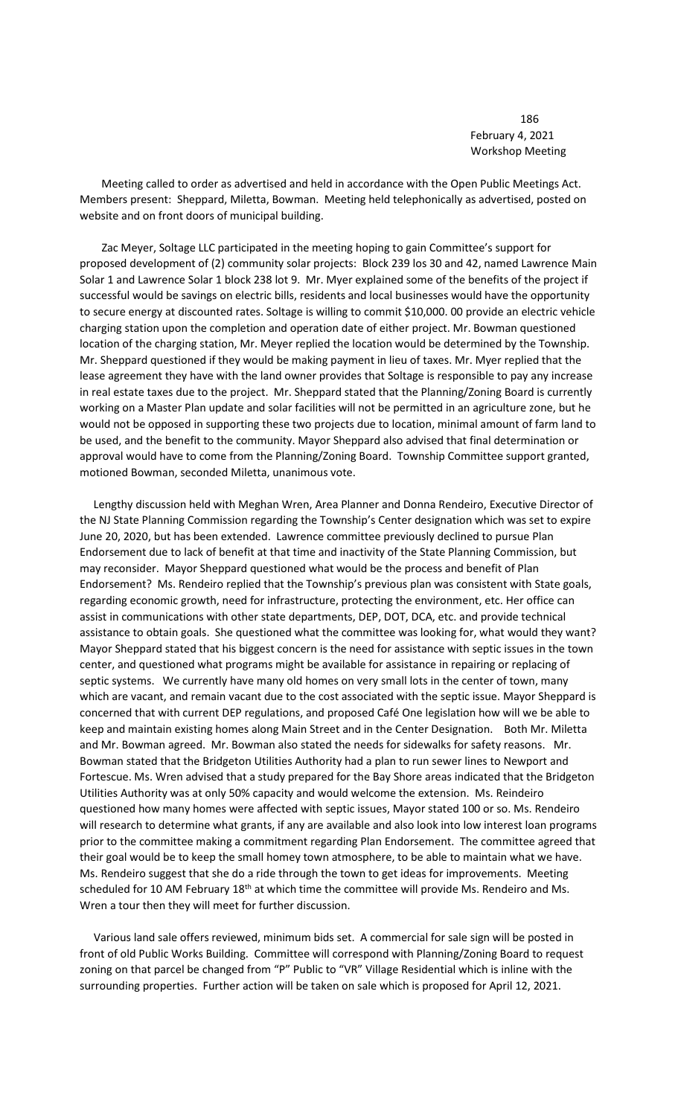186 February 4, 2021 Workshop Meeting

 Meeting called to order as advertised and held in accordance with the Open Public Meetings Act. Members present: Sheppard, Miletta, Bowman. Meeting held telephonically as advertised, posted on website and on front doors of municipal building.

 Zac Meyer, Soltage LLC participated in the meeting hoping to gain Committee's support for proposed development of (2) community solar projects: Block 239 los 30 and 42, named Lawrence Main Solar 1 and Lawrence Solar 1 block 238 lot 9. Mr. Myer explained some of the benefits of the project if successful would be savings on electric bills, residents and local businesses would have the opportunity to secure energy at discounted rates. Soltage is willing to commit \$10,000. 00 provide an electric vehicle charging station upon the completion and operation date of either project. Mr. Bowman questioned location of the charging station, Mr. Meyer replied the location would be determined by the Township. Mr. Sheppard questioned if they would be making payment in lieu of taxes. Mr. Myer replied that the lease agreement they have with the land owner provides that Soltage is responsible to pay any increase in real estate taxes due to the project. Mr. Sheppard stated that the Planning/Zoning Board is currently working on a Master Plan update and solar facilities will not be permitted in an agriculture zone, but he would not be opposed in supporting these two projects due to location, minimal amount of farm land to be used, and the benefit to the community. Mayor Sheppard also advised that final determination or approval would have to come from the Planning/Zoning Board. Township Committee support granted, motioned Bowman, seconded Miletta, unanimous vote.

 Lengthy discussion held with Meghan Wren, Area Planner and Donna Rendeiro, Executive Director of the NJ State Planning Commission regarding the Township's Center designation which was set to expire June 20, 2020, but has been extended. Lawrence committee previously declined to pursue Plan Endorsement due to lack of benefit at that time and inactivity of the State Planning Commission, but may reconsider. Mayor Sheppard questioned what would be the process and benefit of Plan Endorsement? Ms. Rendeiro replied that the Township's previous plan was consistent with State goals, regarding economic growth, need for infrastructure, protecting the environment, etc. Her office can assist in communications with other state departments, DEP, DOT, DCA, etc. and provide technical assistance to obtain goals. She questioned what the committee was looking for, what would they want? Mayor Sheppard stated that his biggest concern is the need for assistance with septic issues in the town center, and questioned what programs might be available for assistance in repairing or replacing of septic systems. We currently have many old homes on very small lots in the center of town, many which are vacant, and remain vacant due to the cost associated with the septic issue. Mayor Sheppard is concerned that with current DEP regulations, and proposed Café One legislation how will we be able to keep and maintain existing homes along Main Street and in the Center Designation. Both Mr. Miletta and Mr. Bowman agreed. Mr. Bowman also stated the needs for sidewalks for safety reasons. Mr. Bowman stated that the Bridgeton Utilities Authority had a plan to run sewer lines to Newport and Fortescue. Ms. Wren advised that a study prepared for the Bay Shore areas indicated that the Bridgeton Utilities Authority was at only 50% capacity and would welcome the extension. Ms. Reindeiro questioned how many homes were affected with septic issues, Mayor stated 100 or so. Ms. Rendeiro will research to determine what grants, if any are available and also look into low interest loan programs prior to the committee making a commitment regarding Plan Endorsement. The committee agreed that their goal would be to keep the small homey town atmosphere, to be able to maintain what we have. Ms. Rendeiro suggest that she do a ride through the town to get ideas for improvements. Meeting scheduled for 10 AM February  $18<sup>th</sup>$  at which time the committee will provide Ms. Rendeiro and Ms. Wren a tour then they will meet for further discussion.

 Various land sale offers reviewed, minimum bids set. A commercial for sale sign will be posted in front of old Public Works Building. Committee will correspond with Planning/Zoning Board to request zoning on that parcel be changed from "P" Public to "VR" Village Residential which is inline with the surrounding properties. Further action will be taken on sale which is proposed for April 12, 2021.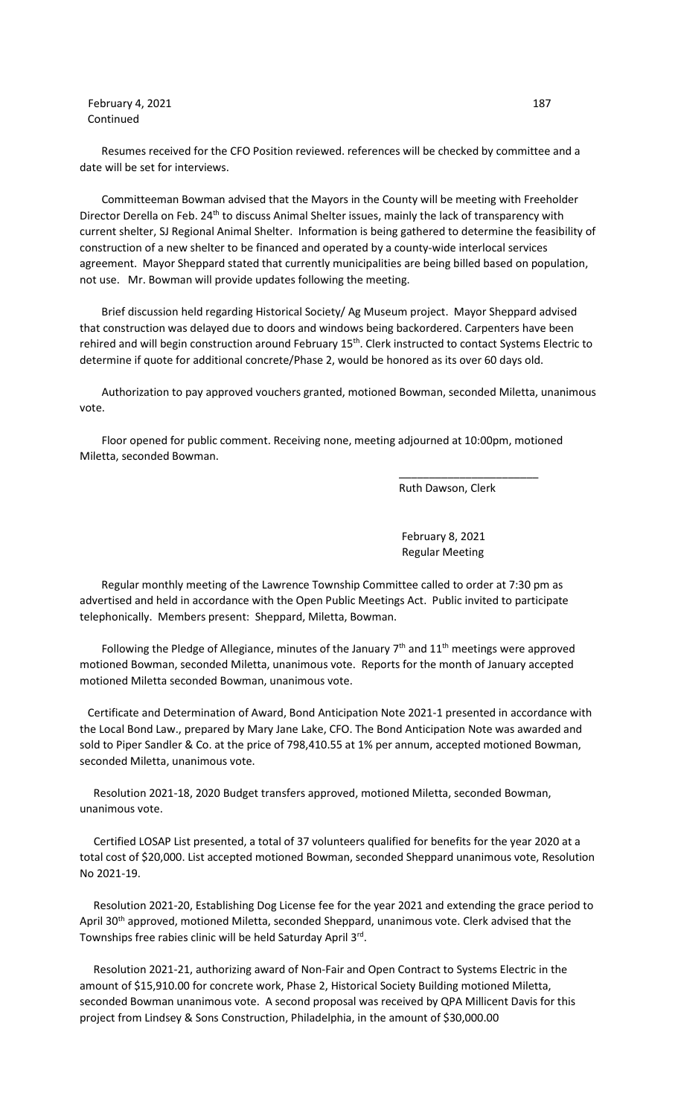**February 4, 2021** 187 Continued

 Resumes received for the CFO Position reviewed. references will be checked by committee and a date will be set for interviews.

 Committeeman Bowman advised that the Mayors in the County will be meeting with Freeholder Director Derella on Feb. 24<sup>th</sup> to discuss Animal Shelter issues, mainly the lack of transparency with current shelter, SJ Regional Animal Shelter. Information is being gathered to determine the feasibility of construction of a new shelter to be financed and operated by a county-wide interlocal services agreement. Mayor Sheppard stated that currently municipalities are being billed based on population, not use. Mr. Bowman will provide updates following the meeting.

 Brief discussion held regarding Historical Society/ Ag Museum project. Mayor Sheppard advised that construction was delayed due to doors and windows being backordered. Carpenters have been rehired and will begin construction around February 15<sup>th</sup>. Clerk instructed to contact Systems Electric to determine if quote for additional concrete/Phase 2, would be honored as its over 60 days old.

 Authorization to pay approved vouchers granted, motioned Bowman, seconded Miletta, unanimous vote.

 Floor opened for public comment. Receiving none, meeting adjourned at 10:00pm, motioned Miletta, seconded Bowman.

 $\frac{1}{\sqrt{2\pi}}$  , which is the contract of the contract of the contract of the contract of the contract of the contract of the contract of the contract of the contract of the contract of the contract of the contract of the

Ruth Dawson, Clerk

 February 8, 2021 Regular Meeting

 Regular monthly meeting of the Lawrence Township Committee called to order at 7:30 pm as advertised and held in accordance with the Open Public Meetings Act. Public invited to participate telephonically. Members present: Sheppard, Miletta, Bowman.

Following the Pledge of Allegiance, minutes of the January  $7<sup>th</sup>$  and  $11<sup>th</sup>$  meetings were approved motioned Bowman, seconded Miletta, unanimous vote. Reports for the month of January accepted motioned Miletta seconded Bowman, unanimous vote.

Certificate and Determination of Award, Bond Anticipation Note 2021-1 presented in accordance with the Local Bond Law., prepared by Mary Jane Lake, CFO. The Bond Anticipation Note was awarded and sold to Piper Sandler & Co. at the price of 798,410.55 at 1% per annum, accepted motioned Bowman, seconded Miletta, unanimous vote.

 Resolution 2021-18, 2020 Budget transfers approved, motioned Miletta, seconded Bowman, unanimous vote.

 Certified LOSAP List presented, a total of 37 volunteers qualified for benefits for the year 2020 at a total cost of \$20,000. List accepted motioned Bowman, seconded Sheppard unanimous vote, Resolution No 2021-19.

 Resolution 2021-20, Establishing Dog License fee for the year 2021 and extending the grace period to April 30<sup>th</sup> approved, motioned Miletta, seconded Sheppard, unanimous vote. Clerk advised that the Townships free rabies clinic will be held Saturday April 3rd.

 Resolution 2021-21, authorizing award of Non-Fair and Open Contract to Systems Electric in the amount of \$15,910.00 for concrete work, Phase 2, Historical Society Building motioned Miletta, seconded Bowman unanimous vote. A second proposal was received by QPA Millicent Davis for this project from Lindsey & Sons Construction, Philadelphia, in the amount of \$30,000.00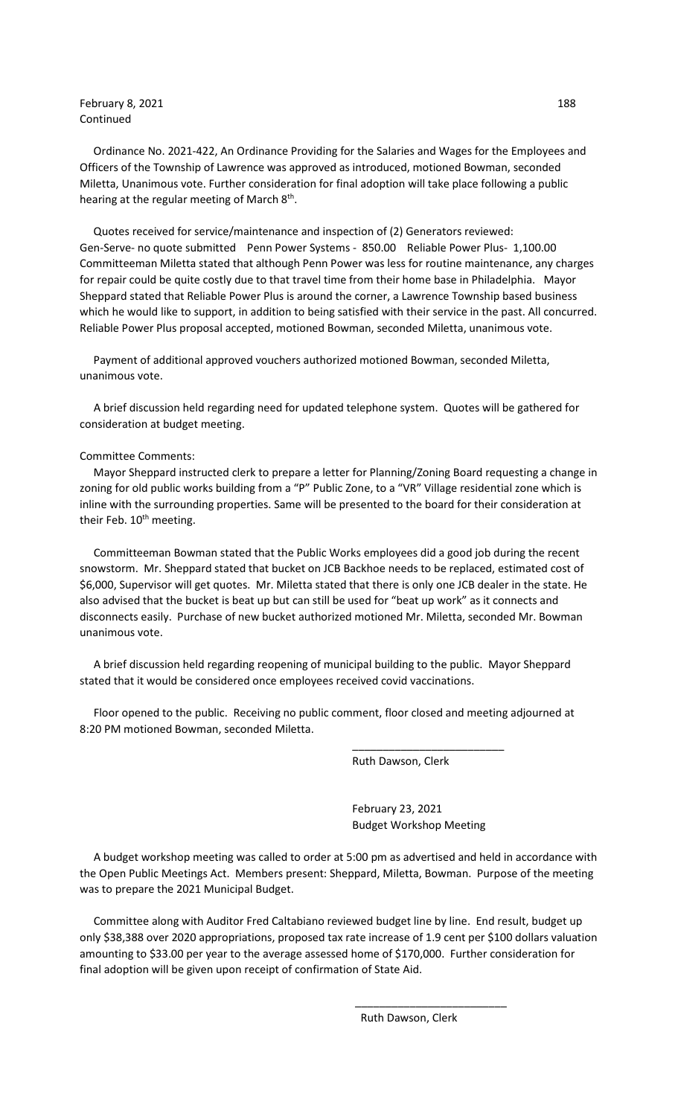## February 8, 2021 188 Continued

 Ordinance No. 2021-422, An Ordinance Providing for the Salaries and Wages for the Employees and Officers of the Township of Lawrence was approved as introduced, motioned Bowman, seconded Miletta, Unanimous vote. Further consideration for final adoption will take place following a public hearing at the regular meeting of March  $8<sup>th</sup>$ .

 Quotes received for service/maintenance and inspection of (2) Generators reviewed: Gen-Serve- no quote submitted Penn Power Systems - 850.00 Reliable Power Plus- 1,100.00 Committeeman Miletta stated that although Penn Power was less for routine maintenance, any charges for repair could be quite costly due to that travel time from their home base in Philadelphia. Mayor Sheppard stated that Reliable Power Plus is around the corner, a Lawrence Township based business which he would like to support, in addition to being satisfied with their service in the past. All concurred. Reliable Power Plus proposal accepted, motioned Bowman, seconded Miletta, unanimous vote.

 Payment of additional approved vouchers authorized motioned Bowman, seconded Miletta, unanimous vote.

 A brief discussion held regarding need for updated telephone system. Quotes will be gathered for consideration at budget meeting.

## Committee Comments:

 Mayor Sheppard instructed clerk to prepare a letter for Planning/Zoning Board requesting a change in zoning for old public works building from a "P" Public Zone, to a "VR" Village residential zone which is inline with the surrounding properties. Same will be presented to the board for their consideration at their Feb. 10<sup>th</sup> meeting.

 Committeeman Bowman stated that the Public Works employees did a good job during the recent snowstorm. Mr. Sheppard stated that bucket on JCB Backhoe needs to be replaced, estimated cost of \$6,000, Supervisor will get quotes. Mr. Miletta stated that there is only one JCB dealer in the state. He also advised that the bucket is beat up but can still be used for "beat up work" as it connects and disconnects easily. Purchase of new bucket authorized motioned Mr. Miletta, seconded Mr. Bowman unanimous vote.

 A brief discussion held regarding reopening of municipal building to the public. Mayor Sheppard stated that it would be considered once employees received covid vaccinations.

 Floor opened to the public. Receiving no public comment, floor closed and meeting adjourned at 8:20 PM motioned Bowman, seconded Miletta.

 $\overline{\phantom{a}}$  , and the contract of the contract of the contract of the contract of the contract of the contract of the contract of the contract of the contract of the contract of the contract of the contract of the contrac

 $\overline{\phantom{a}}$  , and the contract of the contract of the contract of the contract of the contract of the contract of the contract of the contract of the contract of the contract of the contract of the contract of the contrac

Ruth Dawson, Clerk

 February 23, 2021 Budget Workshop Meeting

 A budget workshop meeting was called to order at 5:00 pm as advertised and held in accordance with the Open Public Meetings Act. Members present: Sheppard, Miletta, Bowman. Purpose of the meeting was to prepare the 2021 Municipal Budget.

 Committee along with Auditor Fred Caltabiano reviewed budget line by line. End result, budget up only \$38,388 over 2020 appropriations, proposed tax rate increase of 1.9 cent per \$100 dollars valuation amounting to \$33.00 per year to the average assessed home of \$170,000. Further consideration for final adoption will be given upon receipt of confirmation of State Aid.

Ruth Dawson, Clerk